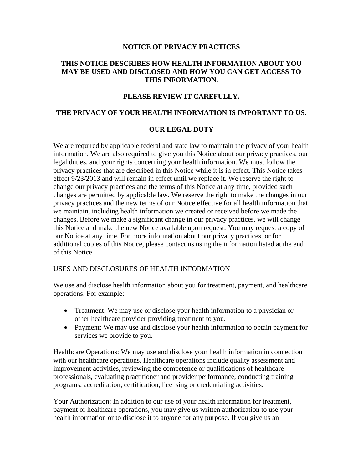## **NOTICE OF PRIVACY PRACTICES**

# **THIS NOTICE DESCRIBES HOW HEALTH INFORMATION ABOUT YOU MAY BE USED AND DISCLOSED AND HOW YOU CAN GET ACCESS TO THIS INFORMATION.**

## **PLEASE REVIEW IT CAREFULLY.**

## **THE PRIVACY OF YOUR HEALTH INFORMATION IS IMPORTANT TO US.**

#### **OUR LEGAL DUTY**

We are required by applicable federal and state law to maintain the privacy of your health information. We are also required to give you this Notice about our privacy practices, our legal duties, and your rights concerning your health information. We must follow the privacy practices that are described in this Notice while it is in effect. This Notice takes effect 9/23/2013 and will remain in effect until we replace it. We reserve the right to change our privacy practices and the terms of this Notice at any time, provided such changes are permitted by applicable law. We reserve the right to make the changes in our privacy practices and the new terms of our Notice effective for all health information that we maintain, including health information we created or received before we made the changes. Before we make a significant change in our privacy practices, we will change this Notice and make the new Notice available upon request. You may request a copy of our Notice at any time. For more information about our privacy practices, or for additional copies of this Notice, please contact us using the information listed at the end of this Notice.

# USES AND DISCLOSURES OF HEALTH INFORMATION

We use and disclose health information about you for treatment, payment, and healthcare operations. For example:

- Treatment: We may use or disclose your health information to a physician or other healthcare provider providing treatment to you.
- Payment: We may use and disclose your health information to obtain payment for services we provide to you.

Healthcare Operations: We may use and disclose your health information in connection with our healthcare operations. Healthcare operations include quality assessment and improvement activities, reviewing the competence or qualifications of healthcare professionals, evaluating practitioner and provider performance, conducting training programs, accreditation, certification, licensing or credentialing activities.

Your Authorization: In addition to our use of your health information for treatment, payment or healthcare operations, you may give us written authorization to use your health information or to disclose it to anyone for any purpose. If you give us an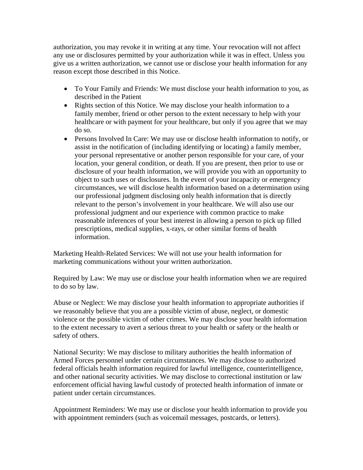authorization, you may revoke it in writing at any time. Your revocation will not affect any use or disclosures permitted by your authorization while it was in effect. Unless you give us a written authorization, we cannot use or disclose your health information for any reason except those described in this Notice.

- To Your Family and Friends: We must disclose your health information to you, as described in the Patient
- Rights section of this Notice. We may disclose your health information to a family member, friend or other person to the extent necessary to help with your healthcare or with payment for your healthcare, but only if you agree that we may do so.
- Persons Involved In Care: We may use or disclose health information to notify, or assist in the notification of (including identifying or locating) a family member, your personal representative or another person responsible for your care, of your location, your general condition, or death. If you are present, then prior to use or disclosure of your health information, we will provide you with an opportunity to object to such uses or disclosures. In the event of your incapacity or emergency circumstances, we will disclose health information based on a determination using our professional judgment disclosing only health information that is directly relevant to the person's involvement in your healthcare. We will also use our professional judgment and our experience with common practice to make reasonable inferences of your best interest in allowing a person to pick up filled prescriptions, medical supplies, x-rays, or other similar forms of health information.

Marketing Health-Related Services: We will not use your health information for marketing communications without your written authorization.

Required by Law: We may use or disclose your health information when we are required to do so by law.

Abuse or Neglect: We may disclose your health information to appropriate authorities if we reasonably believe that you are a possible victim of abuse, neglect, or domestic violence or the possible victim of other crimes. We may disclose your health information to the extent necessary to avert a serious threat to your health or safety or the health or safety of others.

National Security: We may disclose to military authorities the health information of Armed Forces personnel under certain circumstances. We may disclose to authorized federal officials health information required for lawful intelligence, counterintelligence, and other national security activities. We may disclose to correctional institution or law enforcement official having lawful custody of protected health information of inmate or patient under certain circumstances.

Appointment Reminders: We may use or disclose your health information to provide you with appointment reminders (such as voicemail messages, postcards, or letters).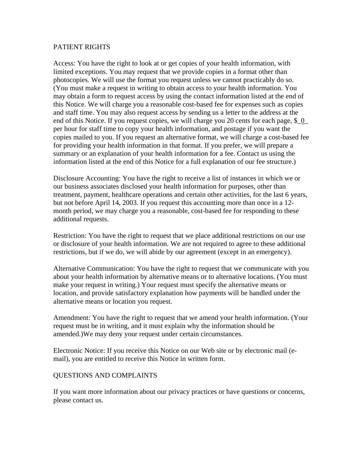## PATIENT RIGHTS

Access: You have the right to look at or get copies of your health information, with limited exceptions. You may request that we provide copies in a format other than photocopies. We will use the format you request unless we cannot practicably do so. (You must make a request in writing to obtain access to your health information. You may obtain a form to request access by using the contact information listed at the end of this Notice. We will charge you a reasonable cost-based fee for expenses such as copies and staff time. You may also request access by sending us a letter to the address at the end of this Notice. If you request copies, we will charge you 20 cents for each page,  $\S$  0 per hour for staff time to copy your health information, and postage if you want the copies mailed to you. If you request an alternative format, we will charge a cost-based fee for providing your health information in that format. If you prefer, we will prepare a summary or an explanation of your health information for a fee. Contact us using the information listed at the end of this Notice for a full explanation of our fee structure.)

Disclosure Accounting: You have the right to receive a list of instances in which we or our business associates disclosed your health information for purposes, other than treatment, payment, healthcare operations and certain other activities, for the last 6 years, but not before April 14, 2003. If you request this accounting more than once in a 12 month period, we may charge you a reasonable, cost-based fee for responding to these additional requests.

Restriction: You have the right to request that we place additional restrictions on our use or disclosure of your health information. We are not required to agree to these additional restrictions, but if we do, we will abide by our agreement (except in an emergency).

Alternative Communication: You have the right to request that we communicate with you about your health information by alternative means or to alternative locations. (You must make your request in writing.) Your request must specify the alternative means or location, and provide satisfactory explanation how payments will be handled under the alternative means or location you request.

Amendment: You have the right to request that we amend your health information. (Your request must be in writing, and it must explain why the information should be amended.)We may deny your request under certain circumstances.

Electronic Notice: If you receive this Notice on our Web site or by electronic mail (email), you are entitled to receive this Notice in written form.

## QUESTIONS AND COMPLAINTS

If you want more information about our privacy practices or have questions or concerns, please contact us.